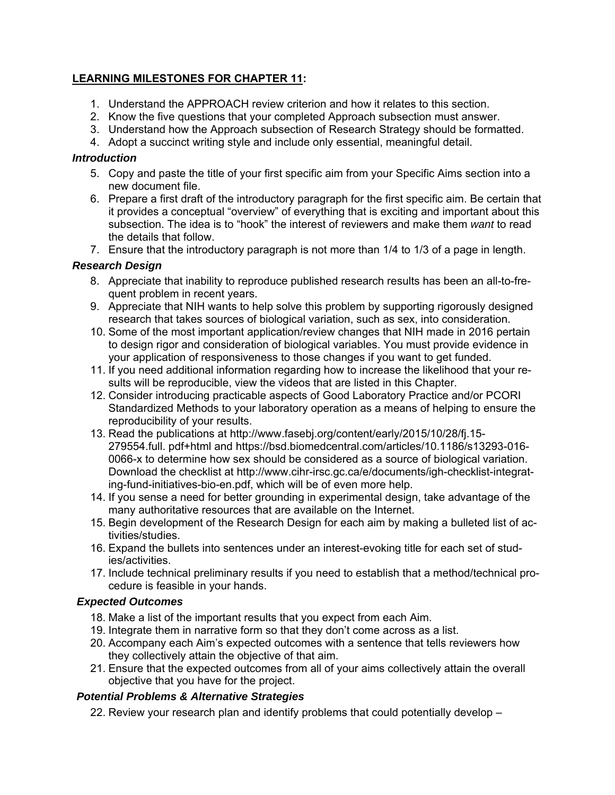# **LEARNING MILESTONES FOR CHAPTER 11:**

- 1. Understand the APPROACH review criterion and how it relates to this section.
- 2. Know the five questions that your completed Approach subsection must answer.
- 3. Understand how the Approach subsection of Research Strategy should be formatted.
- 4. Adopt a succinct writing style and include only essential, meaningful detail.

# *Introduction*

- 5. Copy and paste the title of your first specific aim from your Specific Aims section into a new document file.
- 6. Prepare a first draft of the introductory paragraph for the first specific aim. Be certain that it provides a conceptual "overview" of everything that is exciting and important about this subsection. The idea is to "hook" the interest of reviewers and make them *want* to read the details that follow.
- 7. Ensure that the introductory paragraph is not more than 1/4 to 1/3 of a page in length.

# *Research Design*

- 8. Appreciate that inability to reproduce published research results has been an all-to-frequent problem in recent years.
- 9. Appreciate that NIH wants to help solve this problem by supporting rigorously designed research that takes sources of biological variation, such as sex, into consideration.
- 10. Some of the most important application/review changes that NIH made in 2016 pertain to design rigor and consideration of biological variables. You must provide evidence in your application of responsiveness to those changes if you want to get funded.
- 11. If you need additional information regarding how to increase the likelihood that your results will be reproducible, view the videos that are listed in this Chapter.
- 12. Consider introducing practicable aspects of Good Laboratory Practice and/or PCORI Standardized Methods to your laboratory operation as a means of helping to ensure the reproducibility of your results.
- 13. Read the publications at http://www.fasebj.org/content/early/2015/10/28/fj.15- 279554.full. pdf+html and https://bsd.biomedcentral.com/articles/10.1186/s13293-016- 0066-x to determine how sex should be considered as a source of biological variation. Download the checklist at http://www.cihr-irsc.gc.ca/e/documents/igh-checklist-integrating-fund-initiatives-bio-en.pdf, which will be of even more help.
- 14. If you sense a need for better grounding in experimental design, take advantage of the many authoritative resources that are available on the Internet.
- 15. Begin development of the Research Design for each aim by making a bulleted list of activities/studies.
- 16. Expand the bullets into sentences under an interest-evoking title for each set of studies/activities.
- 17. Include technical preliminary results if you need to establish that a method/technical procedure is feasible in your hands.

# *Expected Outcomes*

- 18. Make a list of the important results that you expect from each Aim.
- 19. Integrate them in narrative form so that they don't come across as a list.
- 20. Accompany each Aim's expected outcomes with a sentence that tells reviewers how they collectively attain the objective of that aim.
- 21. Ensure that the expected outcomes from all of your aims collectively attain the overall objective that you have for the project.

# *Potential Problems & Alternative Strategies*

22. Review your research plan and identify problems that could potentially develop –